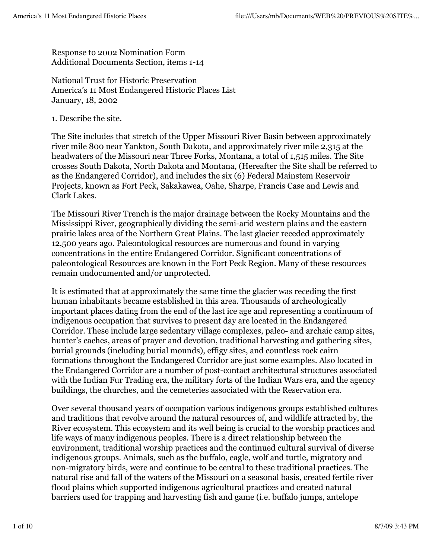Response to 2002 Nomination Form Additional Documents Section, items 1-14

National Trust for Historic Preservation America's 11 Most Endangered Historic Places List January, 18, 2002

1. Describe the site.

The Site includes that stretch of the Upper Missouri River Basin between approximately river mile 800 near Yankton, South Dakota, and approximately river mile 2,315 at the headwaters of the Missouri near Three Forks, Montana, a total of 1,515 miles. The Site crosses South Dakota, North Dakota and Montana, (Hereafter the Site shall be referred to as the Endangered Corridor), and includes the six (6) Federal Mainstem Reservoir Projects, known as Fort Peck, Sakakawea, Oahe, Sharpe, Francis Case and Lewis and Clark Lakes.

The Missouri River Trench is the major drainage between the Rocky Mountains and the Mississippi River, geographically dividing the semi-arid western plains and the eastern prairie lakes area of the Northern Great Plains. The last glacier receded approximately 12,500 years ago. Paleontological resources are numerous and found in varying concentrations in the entire Endangered Corridor. Significant concentrations of paleontological Resources are known in the Fort Peck Region. Many of these resources remain undocumented and/or unprotected.

It is estimated that at approximately the same time the glacier was receding the first human inhabitants became established in this area. Thousands of archeologically important places dating from the end of the last ice age and representing a continuum of indigenous occupation that survives to present day are located in the Endangered Corridor. These include large sedentary village complexes, paleo- and archaic camp sites, hunter's caches, areas of prayer and devotion, traditional harvesting and gathering sites, burial grounds (including burial mounds), effigy sites, and countless rock cairn formations throughout the Endangered Corridor are just some examples. Also located in the Endangered Corridor are a number of post-contact architectural structures associated with the Indian Fur Trading era, the military forts of the Indian Wars era, and the agency buildings, the churches, and the cemeteries associated with the Reservation era.

Over several thousand years of occupation various indigenous groups established cultures and traditions that revolve around the natural resources of, and wildlife attracted by, the River ecosystem. This ecosystem and its well being is crucial to the worship practices and life ways of many indigenous peoples. There is a direct relationship between the environment, traditional worship practices and the continued cultural survival of diverse indigenous groups. Animals, such as the buffalo, eagle, wolf and turtle, migratory and non-migratory birds, were and continue to be central to these traditional practices. The natural rise and fall of the waters of the Missouri on a seasonal basis, created fertile river flood plains which supported indigenous agricultural practices and created natural barriers used for trapping and harvesting fish and game (i.e. buffalo jumps, antelope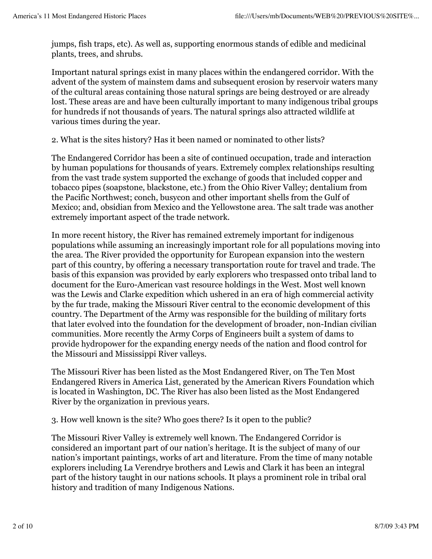jumps, fish traps, etc). As well as, supporting enormous stands of edible and medicinal plants, trees, and shrubs.

Important natural springs exist in many places within the endangered corridor. With the advent of the system of mainstem dams and subsequent erosion by reservoir waters many of the cultural areas containing those natural springs are being destroyed or are already lost. These areas are and have been culturally important to many indigenous tribal groups for hundreds if not thousands of years. The natural springs also attracted wildlife at various times during the year.

2. What is the sites history? Has it been named or nominated to other lists?

The Endangered Corridor has been a site of continued occupation, trade and interaction by human populations for thousands of years. Extremely complex relationships resulting from the vast trade system supported the exchange of goods that included copper and tobacco pipes (soapstone, blackstone, etc.) from the Ohio River Valley; dentalium from the Pacific Northwest; conch, busycon and other important shells from the Gulf of Mexico; and, obsidian from Mexico and the Yellowstone area. The salt trade was another extremely important aspect of the trade network.

In more recent history, the River has remained extremely important for indigenous populations while assuming an increasingly important role for all populations moving into the area. The River provided the opportunity for European expansion into the western part of this country, by offering a necessary transportation route for travel and trade. The basis of this expansion was provided by early explorers who trespassed onto tribal land to document for the Euro-American vast resource holdings in the West. Most well known was the Lewis and Clarke expedition which ushered in an era of high commercial activity by the fur trade, making the Missouri River central to the economic development of this country. The Department of the Army was responsible for the building of military forts that later evolved into the foundation for the development of broader, non-Indian civilian communities. More recently the Army Corps of Engineers built a system of dams to provide hydropower for the expanding energy needs of the nation and flood control for the Missouri and Mississippi River valleys.

The Missouri River has been listed as the Most Endangered River, on The Ten Most Endangered Rivers in America List, generated by the American Rivers Foundation which is located in Washington, DC. The River has also been listed as the Most Endangered River by the organization in previous years.

3. How well known is the site? Who goes there? Is it open to the public?

The Missouri River Valley is extremely well known. The Endangered Corridor is considered an important part of our nation's heritage. It is the subject of many of our nation's important paintings, works of art and literature. From the time of many notable explorers including La Verendrye brothers and Lewis and Clark it has been an integral part of the history taught in our nations schools. It plays a prominent role in tribal oral history and tradition of many Indigenous Nations.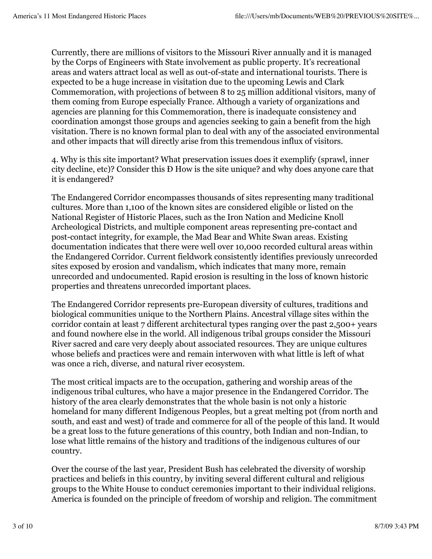Currently, there are millions of visitors to the Missouri River annually and it is managed by the Corps of Engineers with State involvement as public property. It's recreational areas and waters attract local as well as out-of-state and international tourists. There is expected to be a huge increase in visitation due to the upcoming Lewis and Clark Commemoration, with projections of between 8 to 25 million additional visitors, many of them coming from Europe especially France. Although a variety of organizations and agencies are planning for this Commemoration, there is inadequate consistency and coordination amongst those groups and agencies seeking to gain a benefit from the high visitation. There is no known formal plan to deal with any of the associated environmental and other impacts that will directly arise from this tremendous influx of visitors.

4. Why is this site important? What preservation issues does it exemplify (sprawl, inner city decline, etc)? Consider this Ð How is the site unique? and why does anyone care that it is endangered?

The Endangered Corridor encompasses thousands of sites representing many traditional cultures. More than 1,100 of the known sites are considered eligible or listed on the National Register of Historic Places, such as the Iron Nation and Medicine Knoll Archeological Districts, and multiple component areas representing pre-contact and post-contact integrity, for example, the Mad Bear and White Swan areas. Existing documentation indicates that there were well over 10,000 recorded cultural areas within the Endangered Corridor. Current fieldwork consistently identifies previously unrecorded sites exposed by erosion and vandalism, which indicates that many more, remain unrecorded and undocumented. Rapid erosion is resulting in the loss of known historic properties and threatens unrecorded important places.

The Endangered Corridor represents pre-European diversity of cultures, traditions and biological communities unique to the Northern Plains. Ancestral village sites within the corridor contain at least 7 different architectural types ranging over the past 2,500+ years and found nowhere else in the world. All indigenous tribal groups consider the Missouri River sacred and care very deeply about associated resources. They are unique cultures whose beliefs and practices were and remain interwoven with what little is left of what was once a rich, diverse, and natural river ecosystem.

The most critical impacts are to the occupation, gathering and worship areas of the indigenous tribal cultures, who have a major presence in the Endangered Corridor. The history of the area clearly demonstrates that the whole basin is not only a historic homeland for many different Indigenous Peoples, but a great melting pot (from north and south, and east and west) of trade and commerce for all of the people of this land. It would be a great loss to the future generations of this country, both Indian and non-Indian, to lose what little remains of the history and traditions of the indigenous cultures of our country.

Over the course of the last year, President Bush has celebrated the diversity of worship practices and beliefs in this country, by inviting several different cultural and religious groups to the White House to conduct ceremonies important to their individual religions. America is founded on the principle of freedom of worship and religion. The commitment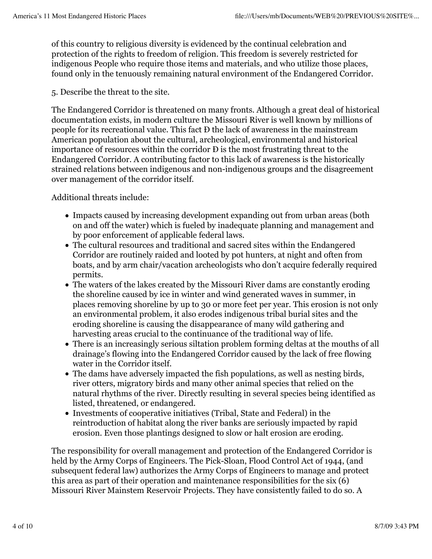of this country to religious diversity is evidenced by the continual celebration and protection of the rights to freedom of religion. This freedom is severely restricted for indigenous People who require those items and materials, and who utilize those places, found only in the tenuously remaining natural environment of the Endangered Corridor.

5. Describe the threat to the site.

The Endangered Corridor is threatened on many fronts. Although a great deal of historical documentation exists, in modern culture the Missouri River is well known by millions of people for its recreational value. This fact Ð the lack of awareness in the mainstream American population about the cultural, archeological, environmental and historical importance of resources within the corridor Ð is the most frustrating threat to the Endangered Corridor. A contributing factor to this lack of awareness is the historically strained relations between indigenous and non-indigenous groups and the disagreement over management of the corridor itself.

Additional threats include:

- Impacts caused by increasing development expanding out from urban areas (both on and off the water) which is fueled by inadequate planning and management and by poor enforcement of applicable federal laws.
- The cultural resources and traditional and sacred sites within the Endangered Corridor are routinely raided and looted by pot hunters, at night and often from boats, and by arm chair/vacation archeologists who don't acquire federally required permits.
- The waters of the lakes created by the Missouri River dams are constantly eroding the shoreline caused by ice in winter and wind generated waves in summer, in places removing shoreline by up to 30 or more feet per year. This erosion is not only an environmental problem, it also erodes indigenous tribal burial sites and the eroding shoreline is causing the disappearance of many wild gathering and harvesting areas crucial to the continuance of the traditional way of life.
- There is an increasingly serious siltation problem forming deltas at the mouths of all drainage's flowing into the Endangered Corridor caused by the lack of free flowing water in the Corridor itself.
- The dams have adversely impacted the fish populations, as well as nesting birds, river otters, migratory birds and many other animal species that relied on the natural rhythms of the river. Directly resulting in several species being identified as listed, threatened, or endangered.
- Investments of cooperative initiatives (Tribal, State and Federal) in the reintroduction of habitat along the river banks are seriously impacted by rapid erosion. Even those plantings designed to slow or halt erosion are eroding.

The responsibility for overall management and protection of the Endangered Corridor is held by the Army Corps of Engineers. The Pick-Sloan, Flood Control Act of 1944, (and subsequent federal law) authorizes the Army Corps of Engineers to manage and protect this area as part of their operation and maintenance responsibilities for the six (6) Missouri River Mainstem Reservoir Projects. They have consistently failed to do so. A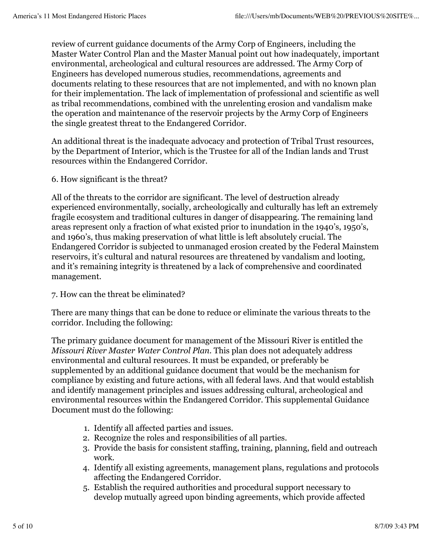review of current guidance documents of the Army Corp of Engineers, including the Master Water Control Plan and the Master Manual point out how inadequately, important environmental, archeological and cultural resources are addressed. The Army Corp of Engineers has developed numerous studies, recommendations, agreements and documents relating to these resources that are not implemented, and with no known plan for their implementation. The lack of implementation of professional and scientific as well as tribal recommendations, combined with the unrelenting erosion and vandalism make the operation and maintenance of the reservoir projects by the Army Corp of Engineers the single greatest threat to the Endangered Corridor.

An additional threat is the inadequate advocacy and protection of Tribal Trust resources, by the Department of Interior, which is the Trustee for all of the Indian lands and Trust resources within the Endangered Corridor.

6. How significant is the threat?

All of the threats to the corridor are significant. The level of destruction already experienced environmentally, socially, archeologically and culturally has left an extremely fragile ecosystem and traditional cultures in danger of disappearing. The remaining land areas represent only a fraction of what existed prior to inundation in the 1940's, 1950's, and 1960's, thus making preservation of what little is left absolutely crucial. The Endangered Corridor is subjected to unmanaged erosion created by the Federal Mainstem reservoirs, it's cultural and natural resources are threatened by vandalism and looting, and it's remaining integrity is threatened by a lack of comprehensive and coordinated management.

## 7. How can the threat be eliminated?

There are many things that can be done to reduce or eliminate the various threats to the corridor. Including the following:

The primary guidance document for management of the Missouri River is entitled the *Missouri River Master Water Control Plan*. This plan does not adequately address environmental and cultural resources. It must be expanded, or preferably be supplemented by an additional guidance document that would be the mechanism for compliance by existing and future actions, with all federal laws. And that would establish and identify management principles and issues addressing cultural, archeological and environmental resources within the Endangered Corridor. This supplemental Guidance Document must do the following:

- 1. Identify all affected parties and issues.
- 2. Recognize the roles and responsibilities of all parties.
- 3. Provide the basis for consistent staffing, training, planning, field and outreach work.
- 4. Identify all existing agreements, management plans, regulations and protocols affecting the Endangered Corridor.
- Establish the required authorities and procedural support necessary to 5. develop mutually agreed upon binding agreements, which provide affected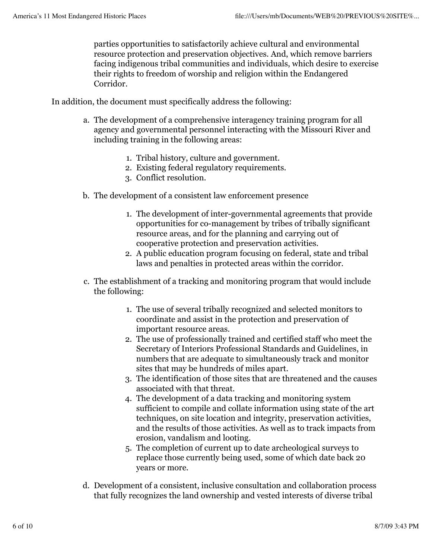parties opportunities to satisfactorily achieve cultural and environmental resource protection and preservation objectives. And, which remove barriers facing indigenous tribal communities and individuals, which desire to exercise their rights to freedom of worship and religion within the Endangered Corridor.

In addition, the document must specifically address the following:

- The development of a comprehensive interagency training program for all a. agency and governmental personnel interacting with the Missouri River and including training in the following areas:
	- 1. Tribal history, culture and government.
	- 2. Existing federal regulatory requirements.
	- 3. Conflict resolution.
- The development of a consistent law enforcement presence b.
	- 1. The development of inter-governmental agreements that provide opportunities for co-management by tribes of tribally significant resource areas, and for the planning and carrying out of cooperative protection and preservation activities.
	- A public education program focusing on federal, state and tribal 2. laws and penalties in protected areas within the corridor.
- The establishment of a tracking and monitoring program that would include c. the following:
	- 1. The use of several tribally recognized and selected monitors to coordinate and assist in the protection and preservation of important resource areas.
	- The use of professionally trained and certified staff who meet the 2. Secretary of Interiors Professional Standards and Guidelines, in numbers that are adequate to simultaneously track and monitor sites that may be hundreds of miles apart.
	- The identification of those sites that are threatened and the causes 3. associated with that threat.
	- The development of a data tracking and monitoring system 4. sufficient to compile and collate information using state of the art techniques, on site location and integrity, preservation activities, and the results of those activities. As well as to track impacts from erosion, vandalism and looting.
	- The completion of current up to date archeological surveys to 5. replace those currently being used, some of which date back 20 years or more.
- Development of a consistent, inclusive consultation and collaboration process d. that fully recognizes the land ownership and vested interests of diverse tribal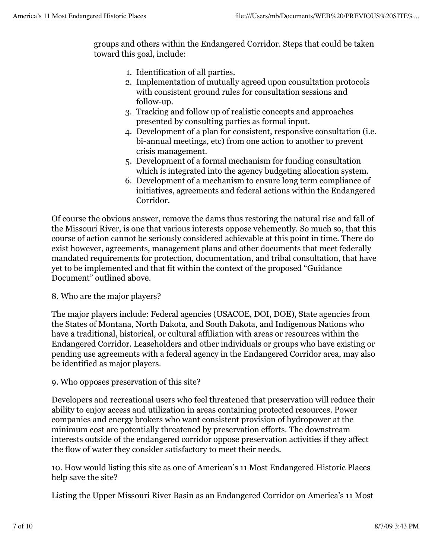groups and others within the Endangered Corridor. Steps that could be taken toward this goal, include:

- 1. Identification of all parties.
- 2. Implementation of mutually agreed upon consultation protocols with consistent ground rules for consultation sessions and follow-up.
- Tracking and follow up of realistic concepts and approaches 3. presented by consulting parties as formal input.
- Development of a plan for consistent, responsive consultation (i.e. 4. bi-annual meetings, etc) from one action to another to prevent crisis management.
- 5. Development of a formal mechanism for funding consultation which is integrated into the agency budgeting allocation system.
- 6. Development of a mechanism to ensure long term compliance of initiatives, agreements and federal actions within the Endangered Corridor.

Of course the obvious answer, remove the dams thus restoring the natural rise and fall of the Missouri River, is one that various interests oppose vehemently. So much so, that this course of action cannot be seriously considered achievable at this point in time. There do exist however, agreements, management plans and other documents that meet federally mandated requirements for protection, documentation, and tribal consultation, that have yet to be implemented and that fit within the context of the proposed "Guidance Document" outlined above.

## 8. Who are the major players?

The major players include: Federal agencies (USACOE, DOI, DOE), State agencies from the States of Montana, North Dakota, and South Dakota, and Indigenous Nations who have a traditional, historical, or cultural affiliation with areas or resources within the Endangered Corridor. Leaseholders and other individuals or groups who have existing or pending use agreements with a federal agency in the Endangered Corridor area, may also be identified as major players.

## 9. Who opposes preservation of this site?

Developers and recreational users who feel threatened that preservation will reduce their ability to enjoy access and utilization in areas containing protected resources. Power companies and energy brokers who want consistent provision of hydropower at the minimum cost are potentially threatened by preservation efforts. The downstream interests outside of the endangered corridor oppose preservation activities if they affect the flow of water they consider satisfactory to meet their needs.

10. How would listing this site as one of American's 11 Most Endangered Historic Places help save the site?

Listing the Upper Missouri River Basin as an Endangered Corridor on America's 11 Most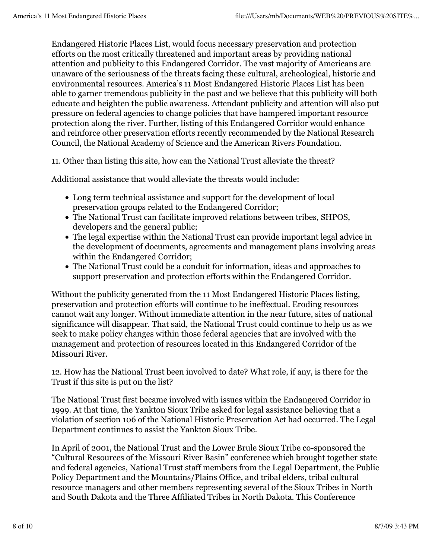Endangered Historic Places List, would focus necessary preservation and protection efforts on the most critically threatened and important areas by providing national attention and publicity to this Endangered Corridor. The vast majority of Americans are unaware of the seriousness of the threats facing these cultural, archeological, historic and environmental resources. America's 11 Most Endangered Historic Places List has been able to garner tremendous publicity in the past and we believe that this publicity will both educate and heighten the public awareness. Attendant publicity and attention will also put pressure on federal agencies to change policies that have hampered important resource protection along the river. Further, listing of this Endangered Corridor would enhance and reinforce other preservation efforts recently recommended by the National Research Council, the National Academy of Science and the American Rivers Foundation.

11. Other than listing this site, how can the National Trust alleviate the threat?

Additional assistance that would alleviate the threats would include:

- Long term technical assistance and support for the development of local preservation groups related to the Endangered Corridor;
- The National Trust can facilitate improved relations between tribes, SHPOS, developers and the general public;
- The legal expertise within the National Trust can provide important legal advice in the development of documents, agreements and management plans involving areas within the Endangered Corridor;
- The National Trust could be a conduit for information, ideas and approaches to support preservation and protection efforts within the Endangered Corridor.

Without the publicity generated from the 11 Most Endangered Historic Places listing, preservation and protection efforts will continue to be ineffectual. Eroding resources cannot wait any longer. Without immediate attention in the near future, sites of national significance will disappear. That said, the National Trust could continue to help us as we seek to make policy changes within those federal agencies that are involved with the management and protection of resources located in this Endangered Corridor of the Missouri River.

12. How has the National Trust been involved to date? What role, if any, is there for the Trust if this site is put on the list?

The National Trust first became involved with issues within the Endangered Corridor in 1999. At that time, the Yankton Sioux Tribe asked for legal assistance believing that a violation of section 106 of the National Historic Preservation Act had occurred. The Legal Department continues to assist the Yankton Sioux Tribe.

In April of 2001, the National Trust and the Lower Brule Sioux Tribe co-sponsored the "Cultural Resources of the Missouri River Basin" conference which brought together state and federal agencies, National Trust staff members from the Legal Department, the Public Policy Department and the Mountains/Plains Office, and tribal elders, tribal cultural resource managers and other members representing several of the Sioux Tribes in North and South Dakota and the Three Affiliated Tribes in North Dakota. This Conference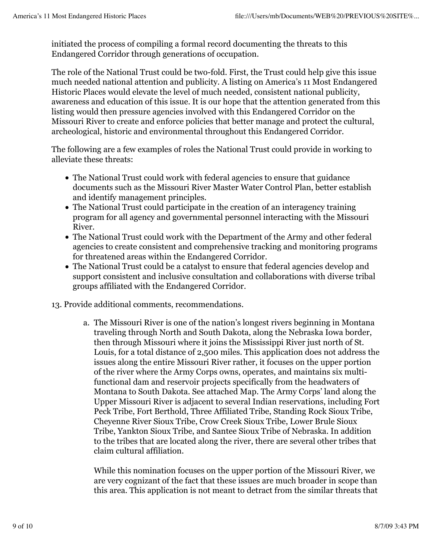initiated the process of compiling a formal record documenting the threats to this Endangered Corridor through generations of occupation.

The role of the National Trust could be two-fold. First, the Trust could help give this issue much needed national attention and publicity. A listing on America's 11 Most Endangered Historic Places would elevate the level of much needed, consistent national publicity, awareness and education of this issue. It is our hope that the attention generated from this listing would then pressure agencies involved with this Endangered Corridor on the Missouri River to create and enforce policies that better manage and protect the cultural, archeological, historic and environmental throughout this Endangered Corridor.

The following are a few examples of roles the National Trust could provide in working to alleviate these threats:

- The National Trust could work with federal agencies to ensure that guidance documents such as the Missouri River Master Water Control Plan, better establish and identify management principles.
- The National Trust could participate in the creation of an interagency training program for all agency and governmental personnel interacting with the Missouri River.
- The National Trust could work with the Department of the Army and other federal agencies to create consistent and comprehensive tracking and monitoring programs for threatened areas within the Endangered Corridor.
- The National Trust could be a catalyst to ensure that federal agencies develop and support consistent and inclusive consultation and collaborations with diverse tribal groups affiliated with the Endangered Corridor.
- 13. Provide additional comments, recommendations.
	- The Missouri River is one of the nation's longest rivers beginning in Montana a. traveling through North and South Dakota, along the Nebraska Iowa border, then through Missouri where it joins the Mississippi River just north of St. Louis, for a total distance of 2,500 miles. This application does not address the issues along the entire Missouri River rather, it focuses on the upper portion of the river where the Army Corps owns, operates, and maintains six multifunctional dam and reservoir projects specifically from the headwaters of Montana to South Dakota. See attached Map. The Army Corps' land along the Upper Missouri River is adjacent to several Indian reservations, including Fort Peck Tribe, Fort Berthold, Three Affiliated Tribe, Standing Rock Sioux Tribe, Cheyenne River Sioux Tribe, Crow Creek Sioux Tribe, Lower Brule Sioux Tribe, Yankton Sioux Tribe, and Santee Sioux Tribe of Nebraska. In addition to the tribes that are located along the river, there are several other tribes that claim cultural affiliation.

While this nomination focuses on the upper portion of the Missouri River, we are very cognizant of the fact that these issues are much broader in scope than this area. This application is not meant to detract from the similar threats that